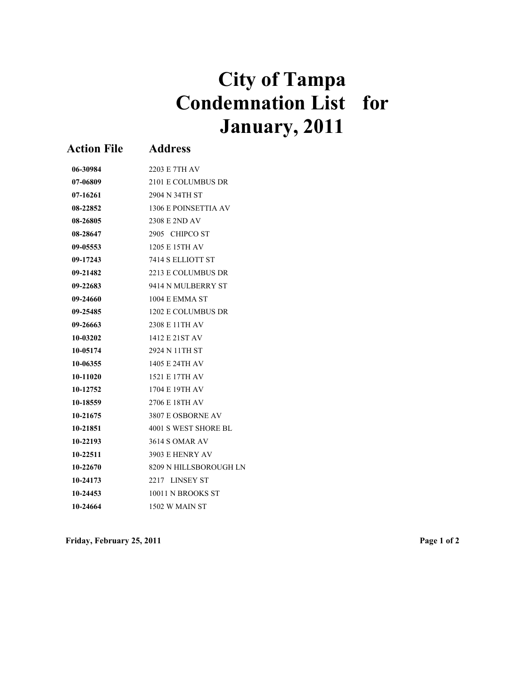## **City of Tampa Condemnation List for January, 2011**

| <b>Action File</b> | <b>Address</b>         |
|--------------------|------------------------|
| 06-30984           | 2203 E 7TH AV          |
| 07-06809           | 2101 E COLUMBUS DR     |
| 07-16261           | 2904 N 34TH ST         |
| 08-22852           | 1306 E POINSETTIA AV   |
| 08-26805           | 2308 E 2ND AV          |
| 08-28647           | 2905 CHIPCO ST         |
| 09-05553           | 1205 E 15TH AV         |
| 09-17243           | 7414 S ELLIOTT ST      |
| 09-21482           | 2213 E COLUMBUS DR     |
| 09-22683           | 9414 N MULBERRY ST     |
| 09-24660           | 1004 E EMMA ST         |
| 09-25485           | 1202 E COLUMBUS DR     |
| 09-26663           | 2308 E 11TH AV         |
| 10-03202           | 1412 E 21ST AV         |
| 10-05174           | 2924 N 11TH ST         |
| 10-06355           | 1405 E 24TH AV         |
| 10-11020           | 1521 E 17TH AV         |
| 10-12752           | 1704 E 19TH AV         |
| 10-18559           | 2706 E 18TH AV         |
| 10-21675           | 3807 E OSBORNE AV      |
| 10-21851           | 4001 S WEST SHORE BL   |
| 10-22193           | <b>3614 S OMAR AV</b>  |
| 10-22511           | 3903 E HENRY AV        |
| 10-22670           | 8209 N HILLSBOROUGH LN |
| 10-24173           | 2217 LINSEY ST         |
| 10-24453           | 10011 N BROOKS ST      |
| 10-24664           | 1502 W MAIN ST         |

**Friday, February 25, 2011 Page 1 of 2**